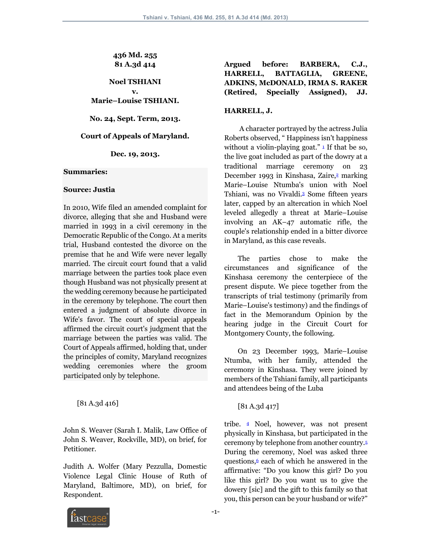## **436 Md. 255 81 A.3d 414**

**Noel TSHIANI v. Marie–Louise TSHIANI.**

**No. 24, Sept. Term, 2013.**

## **Court of Appeals of Maryland.**

**Dec. 19, 2013.**

### **Summaries:**

### **Source: Justia**

In 2010, Wife filed an amended complaint for divorce, alleging that she and Husband were married in 1993 in a civil ceremony in the Democratic Republic of the Congo. At a merits trial, Husband contested the divorce on the premise that he and Wife were never legally married. The circuit court found that a valid marriage between the parties took place even though Husband was not physically present at the wedding ceremony because he participated in the ceremony by telephone. The court then entered a judgment of absolute divorce in Wife's favor. The court of special appeals affirmed the circuit court's judgment that the marriage between the parties was valid. The Court of Appeals affirmed, holding that, under the principles of comity, Maryland recognizes wedding ceremonies where the groom participated only by telephone.

[81 A.3d 416]

John S. Weaver (Sarah I. Malik, Law Office of John S. Weaver, Rockville, MD), on brief, for Petitioner.

Judith A. Wolfer (Mary Pezzulla, Domestic Violence Legal Clinic House of Ruth of Maryland, Baltimore, MD), on brief, for Respondent.

# **Argued before: BARBERA, C.J., HARRELL, BATTAGLIA, GREENE, ADKINS, McDONALD, IRMA S. RAKER (Retired, Specially Assigned), JJ.**

## **HARRELL, J.**

 A character portrayed by the actress Julia Roberts observed, " Happiness isn't happiness without a violin-playing goat." $\overline{1}$  If that be so, the live goat included as part of the dowry at a traditional marriage ceremony on 23 December 1993 in Kinshasa, Zaire,<sup>2</sup> marking Marie–Louise Ntumba's union with Noel Tshiani, was no Vivaldi.3 Some fifteen years later, capped by an altercation in which Noel leveled allegedly a threat at Marie–Louise involving an AK–47 automatic rifle, the couple's relationship ended in a bitter divorce in Maryland, as this case reveals.

 The parties chose to make the circumstances and significance of the Kinshasa ceremony the centerpiece of the present dispute. We piece together from the transcripts of trial testimony (primarily from Marie–Louise's testimony) and the findings of fact in the Memorandum Opinion by the hearing judge in the Circuit Court for Montgomery County, the following.

 On 23 December 1993, Marie–Louise Ntumba, with her family, attended the ceremony in Kinshasa. They were joined by members of the Tshiani family, all participants and attendees being of the Luba

[81 A.3d 417]

tribe. 4 Noel, however, was not present physically in Kinshasa, but participated in the ceremony by telephone from another country.5 During the ceremony, Noel was asked three questions, $6$  each of which he answered in the affirmative: "Do you know this girl? Do you like this girl? Do you want us to give the dowery [sic] and the gift to this family so that you, this person can be your husband or wife?"

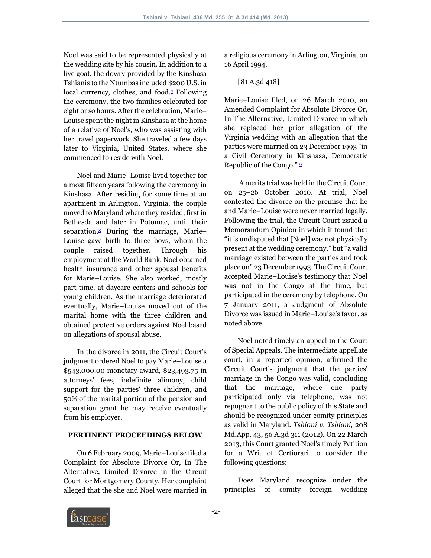Noel was said to be represented physically at the wedding site by his cousin. In addition to a live goat, the dowry provided by the Kinshasa Tshianis to the Ntumbas included \$200 U.S. in local currency, clothes, and food.<sup>2</sup> Following the ceremony, the two families celebrated for eight or so hours. After the celebration, Marie– Louise spent the night in Kinshasa at the home of a relative of Noel's, who was assisting with her travel paperwork. She traveled a few days later to Virginia, United States, where she commenced to reside with Noel.

 Noel and Marie–Louise lived together for almost fifteen years following the ceremony in Kinshasa. After residing for some time at an apartment in Arlington, Virginia, the couple moved to Maryland where they resided, first in Bethesda and later in Potomac, until their separation.8 During the marriage, Marie– Louise gave birth to three boys, whom the couple raised together. Through his employment at the World Bank, Noel obtained health insurance and other spousal benefits for Marie–Louise. She also worked, mostly part-time, at daycare centers and schools for young children. As the marriage deteriorated eventually, Marie–Louise moved out of the marital home with the three children and obtained protective orders against Noel based on allegations of spousal abuse.

 In the divorce in 2011, the Circuit Court's judgment ordered Noel to pay Marie–Louise a \$543,000.00 monetary award, \$23,493.75 in attorneys' fees, indefinite alimony, child support for the parties' three children, and 50% of the marital portion of the pension and separation grant he may receive eventually from his employer.

## **PERTINENT PROCEEDINGS BELOW**

 On 6 February 2009, Marie–Louise filed a Complaint for Absolute Divorce Or, In The Alternative, Limited Divorce in the Circuit Court for Montgomery County. Her complaint alleged that the she and Noel were married in a religious ceremony in Arlington, Virginia, on 16 April 1994.

# [81 A.3d 418]

Marie–Louise filed, on 26 March 2010, an Amended Complaint for Absolute Divorce Or, In The Alternative, Limited Divorce in which she replaced her prior allegation of the Virginia wedding with an allegation that the parties were married on 23 December 1993 "in a Civil Ceremony in Kinshasa, Democratic Republic of the Congo." 9

 A merits trial was held in the Circuit Court on 25–26 October 2010. At trial, Noel contested the divorce on the premise that he and Marie–Louise were never married legally. Following the trial, the Circuit Court issued a Memorandum Opinion in which it found that "it is undisputed that [Noel] was not physically present at the wedding ceremony," but "a valid marriage existed between the parties and took place on" 23 December 1993. The Circuit Court accepted Marie–Louise's testimony that Noel was not in the Congo at the time, but participated in the ceremony by telephone. On 7 January 2011, a Judgment of Absolute Divorce was issued in Marie–Louise's favor, as noted above.

 Noel noted timely an appeal to the Court of Special Appeals. The intermediate appellate court, in a reported opinion, affirmed the Circuit Court's judgment that the parties' marriage in the Congo was valid, concluding that the marriage, where one party participated only via telephone, was not repugnant to the public policy of this State and should be recognized under comity principles as valid in Maryland. *Tshiani v. Tshiani,* 208 Md.App. 43, 56 A.3d 311 (2012). On 22 March 2013, this Court granted Noel's timely Petition for a Writ of Certiorari to consider the following questions:

 Does Maryland recognize under the principles of comity foreign wedding

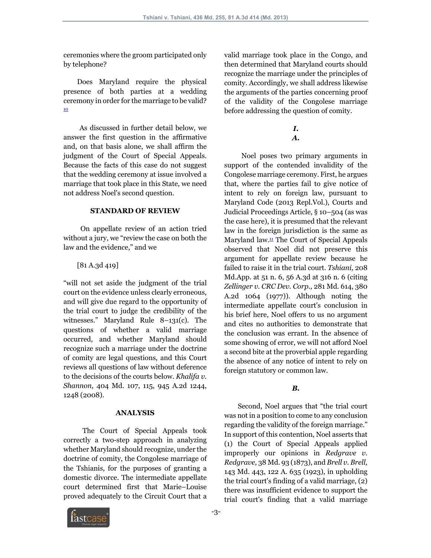ceremonies where the groom participated only by telephone?

 Does Maryland require the physical presence of both parties at a wedding ceremony in order for the marriage to be valid? 10

 As discussed in further detail below, we answer the first question in the affirmative and, on that basis alone, we shall affirm the judgment of the Court of Special Appeals. Because the facts of this case do not suggest that the wedding ceremony at issue involved a marriage that took place in this State, we need not address Noel's second question.

### **STANDARD OF REVIEW**

 On appellate review of an action tried without a jury, we "review the case on both the law and the evidence," and we

[81 A.3d 419]

"will not set aside the judgment of the trial court on the evidence unless clearly erroneous, and will give due regard to the opportunity of the trial court to judge the credibility of the witnesses." Maryland Rule 8–131(c). The questions of whether a valid marriage occurred, and whether Maryland should recognize such a marriage under the doctrine of comity are legal questions, and this Court reviews all questions of law without deference to the decisions of the courts below. *Khalifa v. Shannon,* 404 Md. 107, 115, 945 A.2d 1244, 1248 (2008).

#### **ANALYSIS**

 The Court of Special Appeals took correctly a two-step approach in analyzing whether Maryland should recognize, under the doctrine of comity, the Congolese marriage of the Tshianis, for the purposes of granting a domestic divorce. The intermediate appellate court determined first that Marie–Louise proved adequately to the Circuit Court that a



# *I.*

*A.*

 Noel poses two primary arguments in support of the contended invalidity of the Congolese marriage ceremony. First, he argues that, where the parties fail to give notice of intent to rely on foreign law, pursuant to Maryland Code (2013 Repl.Vol.), Courts and Judicial Proceedings Article, § 10–504 (as was the case here), it is presumed that the relevant law in the foreign jurisdiction is the same as Maryland law.11 The Court of Special Appeals observed that Noel did not preserve this argument for appellate review because he failed to raise it in the trial court. *Tshiani,* 208 Md.App. at 51 n. 6, 56 A.3d at 316 n. 6 (citing *Zellinger v. CRC Dev. Corp.,* 281 Md. 614, 380 A.2d 1064 (1977)). Although noting the intermediate appellate court's conclusion in his brief here, Noel offers to us no argument and cites no authorities to demonstrate that the conclusion was errant. In the absence of some showing of error, we will not afford Noel a second bite at the proverbial apple regarding the absence of any notice of intent to rely on foreign statutory or common law.

### *B.*

 Second, Noel argues that "the trial court was not in a position to come to any conclusion regarding the validity of the foreign marriage." In support of this contention, Noel asserts that (1) the Court of Special Appeals applied improperly our opinions in *Redgrave v. Redgrave,* 38 Md. 93 (1873), and *Brell v. Brell,* 143 Md. 443, 122 A. 635 (1923), in upholding the trial court's finding of a valid marriage, (2) there was insufficient evidence to support the trial court's finding that a valid marriage

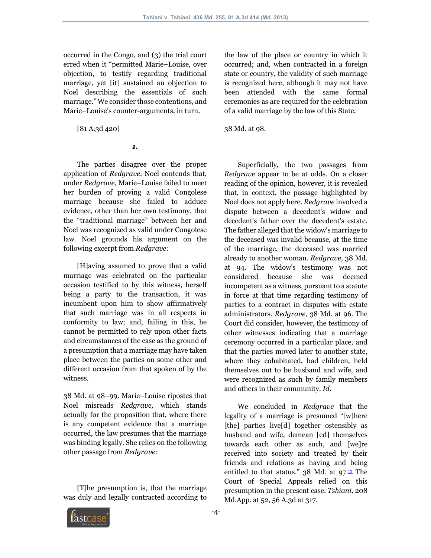occurred in the Congo, and (3) the trial court erred when it "permitted Marie–Louise, over objection, to testify regarding traditional marriage, yet [it] sustained an objection to Noel describing the essentials of such marriage." We consider those contentions, and Marie–Louise's counter-arguments, in turn.

[81 A.3d 420]

### *1.*

 The parties disagree over the proper application of *Redgrave.* Noel contends that, under *Redgrave,* Marie–Louise failed to meet her burden of proving a valid Congolese marriage because she failed to adduce evidence, other than her own testimony, that the "traditional marriage" between her and Noel was recognized as valid under Congolese law. Noel grounds his argument on the following excerpt from *Redgrave:*

 [H]aving assumed to prove that a valid marriage was celebrated on the particular occasion testified to by this witness, herself being a party to the transaction, it was incumbent upon him to show affirmatively that such marriage was in all respects in conformity to law; and, failing in this, he cannot be permitted to rely upon other facts and circumstances of the case as the ground of a presumption that a marriage may have taken place between the parties on some other and different occasion from that spoken of by the witness.

38 Md. at 98–99. Marie–Louise ripostes that Noel misreads *Redgrave,* which stands actually for the proposition that, where there is any competent evidence that a marriage occurred, the law presumes that the marriage was binding legally. She relies on the following other passage from *Redgrave:*

 [T]he presumption is, that the marriage was duly and legally contracted according to the law of the place or country in which it occurred; and, when contracted in a foreign state or country, the validity of such marriage is recognized here, although it may not have been attended with the same formal ceremonies as are required for the celebration of a valid marriage by the law of this State.

38 Md. at 98.

 Superficially, the two passages from *Redgrave* appear to be at odds. On a closer reading of the opinion, however, it is revealed that, in context, the passage highlighted by Noel does not apply here. *Redgrave* involved a dispute between a decedent's widow and decedent's father over the decedent's estate. The father alleged that the widow's marriage to the deceased was invalid because, at the time of the marriage, the deceased was married already to another woman. *Redgrave,* 38 Md. at 94. The widow's testimony was not considered because she was deemed incompetent as a witness, pursuant to a statute in force at that time regarding testimony of parties to a contract in disputes with estate administrators. *Redgrave,* 38 Md. at 96. The Court did consider, however, the testimony of other witnesses indicating that a marriage ceremony occurred in a particular place, and that the parties moved later to another state, where they cohabitated, had children, held themselves out to be husband and wife, and were recognized as such by family members and others in their community. *Id.*

 We concluded in *Redgrave* that the legality of a marriage is presumed "[w]here [the] parties live[d] together ostensibly as husband and wife, demean [ed] themselves towards each other as such, and [we]re received into society and treated by their friends and relations as having and being entitled to that status."  $38$  Md. at  $97.12$  The Court of Special Appeals relied on this presumption in the present case. *Tshiani,* 208 Md.App. at 52, 56 A.3d at 317.

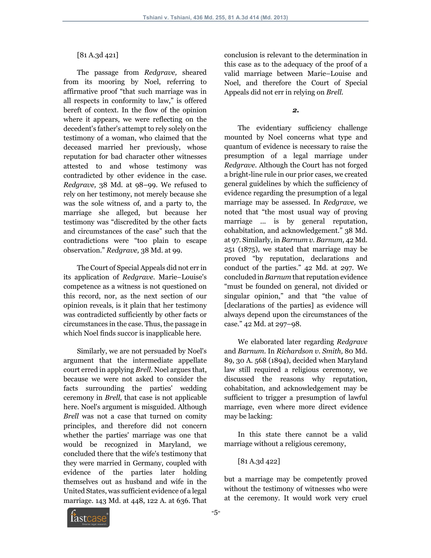# [81 A.3d 421]

 The passage from *Redgrave,* sheared from its mooring by Noel, referring to affirmative proof "that such marriage was in all respects in conformity to law," is offered bereft of context. In the flow of the opinion where it appears, we were reflecting on the decedent's father's attempt to rely solely on the testimony of a woman, who claimed that the deceased married her previously, whose reputation for bad character other witnesses attested to and whose testimony was contradicted by other evidence in the case. *Redgrave,* 38 Md. at 98–99. We refused to rely on her testimony, not merely because she was the sole witness of, and a party to, the marriage she alleged, but because her testimony was "discredited by the other facts and circumstances of the case" such that the contradictions were "too plain to escape observation." *Redgrave,* 38 Md. at 99.

 The Court of Special Appeals did not err in its application of *Redgrave.* Marie–Louise's competence as a witness is not questioned on this record, nor, as the next section of our opinion reveals, is it plain that her testimony was contradicted sufficiently by other facts or circumstances in the case. Thus, the passage in which Noel finds succor is inapplicable here.

 Similarly, we are not persuaded by Noel's argument that the intermediate appellate court erred in applying *Brell.* Noel argues that, because we were not asked to consider the facts surrounding the parties' wedding ceremony in *Brell,* that case is not applicable here. Noel's argument is misguided. Although *Brell* was not a case that turned on comity principles, and therefore did not concern whether the parties' marriage was one that would be recognized in Maryland, we concluded there that the wife's testimony that they were married in Germany, coupled with evidence of the parties later holding themselves out as husband and wife in the United States, was sufficient evidence of a legal marriage. 143 Md. at 448, 122 A. at 636. That conclusion is relevant to the determination in this case as to the adequacy of the proof of a valid marriage between Marie–Louise and Noel, and therefore the Court of Special Appeals did not err in relying on *Brell.*

### *2.*

 The evidentiary sufficiency challenge mounted by Noel concerns what type and quantum of evidence is necessary to raise the presumption of a legal marriage under *Redgrave.* Although the Court has not forged a bright-line rule in our prior cases, we created general guidelines by which the sufficiency of evidence regarding the presumption of a legal marriage may be assessed. In *Redgrave,* we noted that "the most usual way of proving marriage ... is by general reputation, cohabitation, and acknowledgement." 38 Md. at 97. Similarly, in *Barnum v. Barnum,* 42 Md. 251 (1875), we stated that marriage may be proved "by reputation, declarations and conduct of the parties." 42 Md. at 297. We concluded in *Barnum* that reputation evidence "must be founded on general, not divided or singular opinion," and that "the value of [declarations of the parties] as evidence will always depend upon the circumstances of the case." 42 Md. at 297–98.

 We elaborated later regarding *Redgrave* and *Barnum.* In *Richardson v. Smith,* 80 Md. 89, 30 A. 568 (1894), decided when Maryland law still required a religious ceremony, we discussed the reasons why reputation, cohabitation, and acknowledgement may be sufficient to trigger a presumption of lawful marriage, even where more direct evidence may be lacking:

 In this state there cannot be a valid marriage without a religious ceremony,

[81 A.3d 422]

but a marriage may be competently proved without the testimony of witnesses who were at the ceremony. It would work very cruel

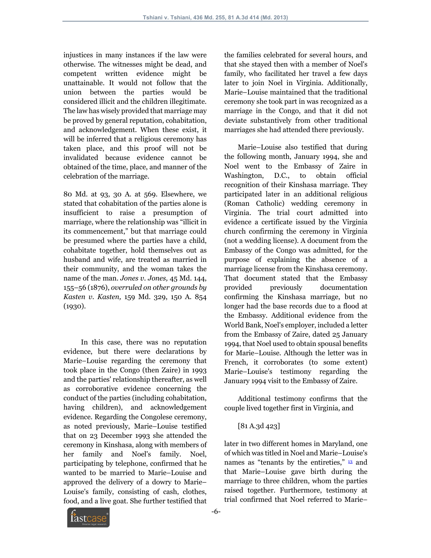injustices in many instances if the law were otherwise. The witnesses might be dead, and competent written evidence might be unattainable. It would not follow that the union between the parties would be considered illicit and the children illegitimate. The law has wisely provided that marriage may be proved by general reputation, cohabitation, and acknowledgement. When these exist, it will be inferred that a religious ceremony has taken place, and this proof will not be invalidated because evidence cannot be obtained of the time, place, and manner of the celebration of the marriage.

80 Md. at 93, 30 A. at 569. Elsewhere, we stated that cohabitation of the parties alone is insufficient to raise a presumption of marriage, where the relationship was "illicit in its commencement," but that marriage could be presumed where the parties have a child, cohabitate together, hold themselves out as husband and wife, are treated as married in their community, and the woman takes the name of the man. *Jones v. Jones,* 45 Md. 144, 155–56 (1876), *overruled on other grounds by Kasten v. Kasten,* 159 Md. 329, 150 A. 854 (1930).

 In this case, there was no reputation evidence, but there were declarations by Marie–Louise regarding the ceremony that took place in the Congo (then Zaire) in 1993 and the parties' relationship thereafter, as well as corroborative evidence concerning the conduct of the parties (including cohabitation, having children), and acknowledgement evidence. Regarding the Congolese ceremony, as noted previously, Marie–Louise testified that on 23 December 1993 she attended the ceremony in Kinshasa, along with members of her family and Noel's family. Noel, participating by telephone, confirmed that he wanted to be married to Marie–Louise and approved the delivery of a dowry to Marie– Louise's family, consisting of cash, clothes, food, and a live goat. She further testified that

the families celebrated for several hours, and that she stayed then with a member of Noel's family, who facilitated her travel a few days later to join Noel in Virginia. Additionally, Marie–Louise maintained that the traditional ceremony she took part in was recognized as a marriage in the Congo, and that it did not deviate substantively from other traditional marriages she had attended there previously.

 Marie–Louise also testified that during the following month, January 1994, she and Noel went to the Embassy of Zaire in Washington, D.C., to obtain official recognition of their Kinshasa marriage. They participated later in an additional religious (Roman Catholic) wedding ceremony in Virginia. The trial court admitted into evidence a certificate issued by the Virginia church confirming the ceremony in Virginia (not a wedding license). A document from the Embassy of the Congo was admitted, for the purpose of explaining the absence of a marriage license from the Kinshasa ceremony. That document stated that the Embassy provided previously documentation confirming the Kinshasa marriage, but no longer had the base records due to a flood at the Embassy. Additional evidence from the World Bank, Noel's employer, included a letter from the Embassy of Zaire, dated 25 January 1994, that Noel used to obtain spousal benefits for Marie–Louise. Although the letter was in French, it corroborates (to some extent) Marie–Louise's testimony regarding the January 1994 visit to the Embassy of Zaire.

 Additional testimony confirms that the couple lived together first in Virginia, and

# [81 A.3d 423]

later in two different homes in Maryland, one of which was titled in Noel and Marie–Louise's names as "tenants by the entireties," <sup>13</sup> and that Marie–Louise gave birth during the marriage to three children, whom the parties raised together. Furthermore, testimony at trial confirmed that Noel referred to Marie–

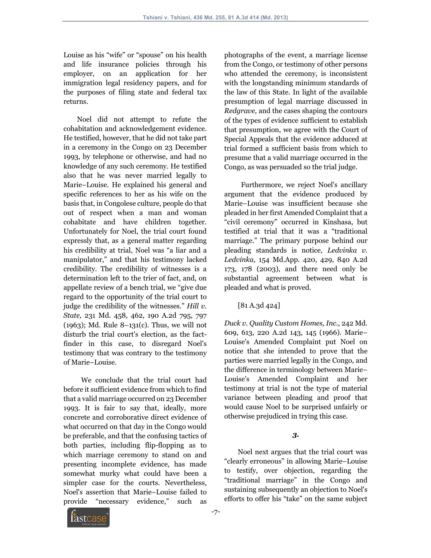Louise as his "wife" or "spouse" on his health and life insurance policies through his employer, on an application for her immigration legal residency papers, and for the purposes of filing state and federal tax returns.

 Noel did not attempt to refute the cohabitation and acknowledgement evidence. He testified, however, that he did not take part in a ceremony in the Congo on 23 December 1993, by telephone or otherwise, and had no knowledge of any such ceremony. He testified also that he was never married legally to Marie–Louise. He explained his general and specific references to her as his wife on the basis that, in Congolese culture, people do that out of respect when a man and woman cohabitate and have children together. Unfortunately for Noel, the trial court found expressly that, as a general matter regarding his credibility at trial, Noel was "a liar and a manipulator," and that his testimony lacked credibility. The credibility of witnesses is a determination left to the trier of fact, and, on appellate review of a bench trial, we "give due regard to the opportunity of the trial court to judge the credibility of the witnesses." *Hill v. State,* 231 Md. 458, 462, 190 A.2d 795, 797 (1963); Md. Rule 8–131(c). Thus, we will not disturb the trial court's election, as the factfinder in this case, to disregard Noel's testimony that was contrary to the testimony of Marie–Louise.

 We conclude that the trial court had before it sufficient evidence from which to find that a valid marriage occurred on 23 December 1993. It is fair to say that, ideally, more concrete and corroborative direct evidence of what occurred on that day in the Congo would be preferable, and that the confusing tactics of both parties, including flip-flopping as to which marriage ceremony to stand on and presenting incomplete evidence, has made somewhat murky what could have been a simpler case for the courts. Nevertheless, Noel's assertion that Marie–Louise failed to provide "necessary evidence," such as

photographs of the event, a marriage license from the Congo, or testimony of other persons who attended the ceremony, is inconsistent with the longstanding minimum standards of the law of this State. In light of the available presumption of legal marriage discussed in *Redgrave,* and the cases shaping the contours of the types of evidence sufficient to establish that presumption, we agree with the Court of Special Appeals that the evidence adduced at trial formed a sufficient basis from which to presume that a valid marriage occurred in the Congo, as was persuaded so the trial judge.

 Furthermore, we reject Noel's ancillary argument that the evidence produced by Marie–Louise was insufficient because she pleaded in her first Amended Complaint that a "civil ceremony" occurred in Kinshasa, but testified at trial that it was a "traditional marriage." The primary purpose behind our pleading standards is notice, *Ledvinka v. Ledvinka,* 154 Md.App. 420, 429, 840 A.2d 173, 178 (2003), and there need only be substantial agreement between what is pleaded and what is proved.

[81 A.3d 424]

*Duck v. Quality Custom Homes, Inc.,* 242 Md. 609, 613, 220 A.2d 143, 145 (1966). Marie– Louise's Amended Complaint put Noel on notice that she intended to prove that the parties were married legally in the Congo, and the difference in terminology between Marie– Louise's Amended Complaint and her testimony at trial is not the type of material variance between pleading and proof that would cause Noel to be surprised unfairly or otherwise prejudiced in trying this case.

## *3.*

 Noel next argues that the trial court was "clearly erroneous" in allowing Marie–Louise to testify, over objection, regarding the "traditional marriage" in the Congo and sustaining subsequently an objection to Noel's efforts to offer his "take" on the same subject

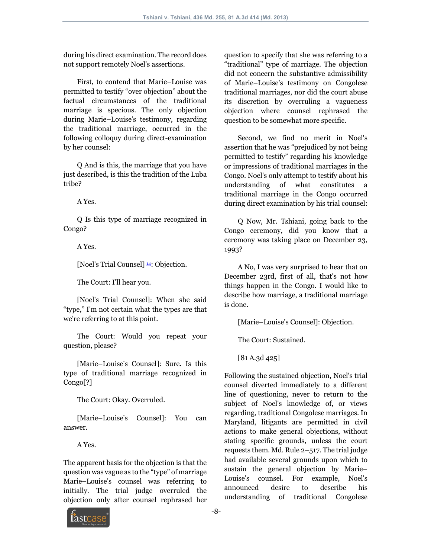during his direct examination. The record does not support remotely Noel's assertions.

 First, to contend that Marie–Louise was permitted to testify "over objection" about the factual circumstances of the traditional marriage is specious. The only objection during Marie–Louise's testimony, regarding the traditional marriage, occurred in the following colloquy during direct-examination by her counsel:

 Q And is this, the marriage that you have just described, is this the tradition of the Luba tribe?

A Yes.

 Q Is this type of marriage recognized in Congo?

A Yes.

[Noel's Trial Counsel] <sup>14</sup>: Objection.

The Court: I'll hear you.

 [Noel's Trial Counsel]: When she said "type," I'm not certain what the types are that we're referring to at this point.

 The Court: Would you repeat your question, please?

 [Marie–Louise's Counsel]: Sure. Is this type of traditional marriage recognized in Congo[?]

The Court: Okay. Overruled.

 [Marie–Louise's Counsel]: You can answer.

A Yes.

The apparent basis for the objection is that the question was vague as to the "type" of marriage Marie–Louise's counsel was referring to initially. The trial judge overruled the objection only after counsel rephrased her question to specify that she was referring to a "traditional" type of marriage. The objection did not concern the substantive admissibility of Marie–Louise's testimony on Congolese traditional marriages, nor did the court abuse its discretion by overruling a vagueness objection where counsel rephrased the question to be somewhat more specific.

 Second, we find no merit in Noel's assertion that he was "prejudiced by not being permitted to testify" regarding his knowledge or impressions of traditional marriages in the Congo. Noel's only attempt to testify about his understanding of what constitutes a traditional marriage in the Congo occurred during direct examination by his trial counsel:

 Q Now, Mr. Tshiani, going back to the Congo ceremony, did you know that a ceremony was taking place on December 23, 1993?

 A No, I was very surprised to hear that on December 23rd, first of all, that's not how things happen in the Congo. I would like to describe how marriage, a traditional marriage is done.

[Marie–Louise's Counsel]: Objection.

The Court: Sustained.

[81 A.3d 425]

Following the sustained objection, Noel's trial counsel diverted immediately to a different line of questioning, never to return to the subject of Noel's knowledge of, or views regarding, traditional Congolese marriages. In Maryland, litigants are permitted in civil actions to make general objections, without stating specific grounds, unless the court requests them. Md. Rule 2–517. The trial judge had available several grounds upon which to sustain the general objection by Marie– Louise's counsel. For example, Noel's announced desire to describe his understanding of traditional Congolese

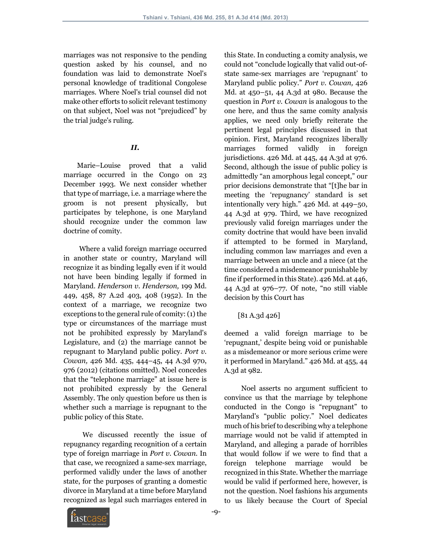marriages was not responsive to the pending question asked by his counsel, and no foundation was laid to demonstrate Noel's personal knowledge of traditional Congolese marriages. Where Noel's trial counsel did not make other efforts to solicit relevant testimony on that subject, Noel was not "prejudiced" by the trial judge's ruling.

## *II.*

 Marie–Louise proved that a valid marriage occurred in the Congo on 23 December 1993. We next consider whether that type of marriage, i.e. a marriage where the groom is not present physically, but participates by telephone, is one Maryland should recognize under the common law doctrine of comity.

 Where a valid foreign marriage occurred in another state or country, Maryland will recognize it as binding legally even if it would not have been binding legally if formed in Maryland. *Henderson v. Henderson,* 199 Md. 449, 458, 87 A.2d 403, 408 (1952). In the context of a marriage, we recognize two exceptions to the general rule of comity: (1) the type or circumstances of the marriage must not be prohibited expressly by Maryland's Legislature, and (2) the marriage cannot be repugnant to Maryland public policy. *Port v. Cowan,* 426 Md. 435, 444–45, 44 A.3d 970, 976 (2012) (citations omitted). Noel concedes that the "telephone marriage" at issue here is not prohibited expressly by the General Assembly. The only question before us then is whether such a marriage is repugnant to the public policy of this State.

 We discussed recently the issue of repugnancy regarding recognition of a certain type of foreign marriage in *Port v. Cowan.* In that case, we recognized a same-sex marriage, performed validly under the laws of another state, for the purposes of granting a domestic divorce in Maryland at a time before Maryland recognized as legal such marriages entered in

this State. In conducting a comity analysis, we could not "conclude logically that valid out-ofstate same-sex marriages are 'repugnant' to Maryland public policy." *Port v. Cowan,* 426 Md. at 450–51, 44 A.3d at 980. Because the question in *Port v. Cowan* is analogous to the one here, and thus the same comity analysis applies, we need only briefly reiterate the pertinent legal principles discussed in that opinion. First, Maryland recognizes liberally marriages formed validly in foreign jurisdictions. 426 Md. at 445, 44 A.3d at 976. Second, although the issue of public policy is admittedly "an amorphous legal concept," our prior decisions demonstrate that "[t]he bar in meeting the 'repugnancy' standard is set intentionally very high." 426 Md. at 449–50, 44 A.3d at 979. Third, we have recognized previously valid foreign marriages under the comity doctrine that would have been invalid if attempted to be formed in Maryland, including common law marriages and even a marriage between an uncle and a niece (at the time considered a misdemeanor punishable by fine if performed in this State). 426 Md. at 446, 44 A.3d at 976–77. Of note, "no still viable decision by this Court has

[81 A.3d 426]

deemed a valid foreign marriage to be 'repugnant,' despite being void or punishable as a misdemeanor or more serious crime were it performed in Maryland." 426 Md. at 455, 44 A.3d at 982.

 Noel asserts no argument sufficient to convince us that the marriage by telephone conducted in the Congo is "repugnant" to Maryland's "public policy." Noel dedicates much of his brief to describing why a telephone marriage would not be valid if attempted in Maryland, and alleging a parade of horribles that would follow if we were to find that a foreign telephone marriage would be recognized in this State. Whether the marriage would be valid if performed here, however, is not the question. Noel fashions his arguments to us likely because the Court of Special

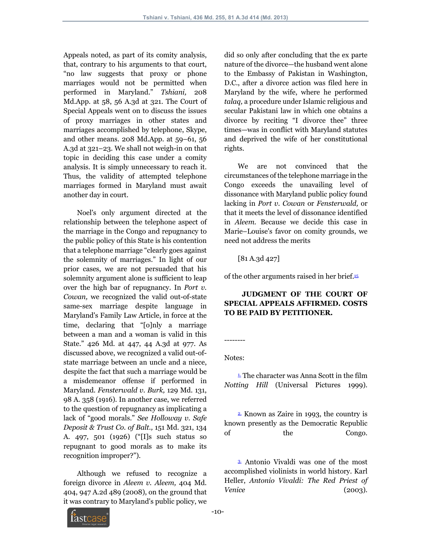Appeals noted, as part of its comity analysis, that, contrary to his arguments to that court, "no law suggests that proxy or phone marriages would not be permitted when performed in Maryland." *Tshiani,* 208 Md.App. at 58, 56 A.3d at 321. The Court of Special Appeals went on to discuss the issues of proxy marriages in other states and marriages accomplished by telephone, Skype, and other means. 208 Md.App. at 59–61, 56 A.3d at 321–23. We shall not weigh-in on that topic in deciding this case under a comity analysis. It is simply unnecessary to reach it. Thus, the validity of attempted telephone marriages formed in Maryland must await another day in court.

 Noel's only argument directed at the relationship between the telephone aspect of the marriage in the Congo and repugnancy to the public policy of this State is his contention that a telephone marriage "clearly goes against the solemnity of marriages." In light of our prior cases, we are not persuaded that his solemnity argument alone is sufficient to leap over the high bar of repugnancy. In *Port v. Cowan,* we recognized the valid out-of-state same-sex marriage despite language in Maryland's Family Law Article, in force at the time, declaring that "[o]nly a marriage between a man and a woman is valid in this State." 426 Md. at 447, 44 A.3d at 977. As discussed above, we recognized a valid out-ofstate marriage between an uncle and a niece, despite the fact that such a marriage would be a misdemeanor offense if performed in Maryland. *Fensterwald v. Burk,* 129 Md. 131, 98 A. 358 (1916). In another case, we referred to the question of repugnancy as implicating a lack of "good morals." *See Holloway v. Safe Deposit & Trust Co. of Balt.,* 151 Md. 321, 134 A. 497, 501 (1926) ("[I]s such status so repugnant to good morals as to make its recognition improper?").

 Although we refused to recognize a foreign divorce in *Aleem v. Aleem,* 404 Md. 404, 947 A.2d 489 (2008), on the ground that it was contrary to Maryland's public policy, we

did so only after concluding that the ex parte nature of the divorce—the husband went alone to the Embassy of Pakistan in Washington, D.C., after a divorce action was filed here in Maryland by the wife, where he performed *talaq,* a procedure under Islamic religious and secular Pakistani law in which one obtains a divorce by reciting "I divorce thee" three times—was in conflict with Maryland statutes and deprived the wife of her constitutional rights.

 We are not convinced that the circumstances of the telephone marriage in the Congo exceeds the unavailing level of dissonance with Maryland public policy found lacking in *Port v. Cowan* or *Fensterwald,* or that it meets the level of dissonance identified in *Aleem.* Because we decide this case in Marie–Louise's favor on comity grounds, we need not address the merits

[81 A.3d 427]

of the other arguments raised in her brief.15

# **JUDGMENT OF THE COURT OF SPECIAL APPEALS AFFIRMED. COSTS TO BE PAID BY PETITIONER.**

-------- Notes:

 $\frac{1}{2}$ . The character was Anna Scott in the film *Notting Hill* (Universal Pictures 1999).

 2. Known as Zaire in 1993, the country is known presently as the Democratic Republic of the Congo.

 3. Antonio Vivaldi was one of the most accomplished violinists in world history. Karl Heller, *Antonio Vivaldi: The Red Priest of Venice* (2003).

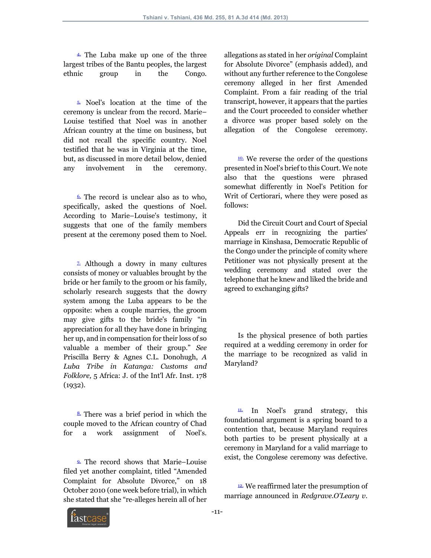4. The Luba make up one of the three largest tribes of the Bantu peoples, the largest ethnic group in the Congo.

 5. Noel's location at the time of the ceremony is unclear from the record. Marie– Louise testified that Noel was in another African country at the time on business, but did not recall the specific country. Noel testified that he was in Virginia at the time, but, as discussed in more detail below, denied any involvement in the ceremony.

 $6.$  The record is unclear also as to who. specifically, asked the questions of Noel. According to Marie–Louise's testimony, it suggests that one of the family members present at the ceremony posed them to Noel.

<sup>2</sup>. Although a dowry in many cultures consists of money or valuables brought by the bride or her family to the groom or his family, scholarly research suggests that the dowry system among the Luba appears to be the opposite: when a couple marries, the groom may give gifts to the bride's family "in appreciation for all they have done in bringing her up, and in compensation for their loss of so valuable a member of their group." *See* Priscilla Berry & Agnes C.L. Donohugh, *A Luba Tribe in Katanga: Customs and Folklore,* 5 Africa: J. of the Int'l Afr. Inst. 178  $(1932)$ .

 8. There was a brief period in which the couple moved to the African country of Chad for a work assignment of Noel's.

 9. The record shows that Marie–Louise filed yet another complaint, titled "Amended Complaint for Absolute Divorce," on 18 October 2010 (one week before trial), in which she stated that she "re-alleges herein all of her allegations as stated in her *original* Complaint for Absolute Divorce" (emphasis added), and without any further reference to the Congolese ceremony alleged in her first Amended Complaint. From a fair reading of the trial transcript, however, it appears that the parties and the Court proceeded to consider whether a divorce was proper based solely on the allegation of the Congolese ceremony.

 10. We reverse the order of the questions presented in Noel's brief to this Court. We note also that the questions were phrased somewhat differently in Noel's Petition for Writ of Certiorari, where they were posed as follows:

 Did the Circuit Court and Court of Special Appeals err in recognizing the parties' marriage in Kinshasa, Democratic Republic of the Congo under the principle of comity where Petitioner was not physically present at the wedding ceremony and stated over the telephone that he knew and liked the bride and agreed to exchanging gifts?

 Is the physical presence of both parties required at a wedding ceremony in order for the marriage to be recognized as valid in Maryland?

 $11.$  In Noel's grand strategy, this foundational argument is a spring board to a contention that, because Maryland requires both parties to be present physically at a ceremony in Maryland for a valid marriage to exist, the Congolese ceremony was defective.

<sup>12.</sup> We reaffirmed later the presumption of marriage announced in *Redgrave.O'Leary v.*